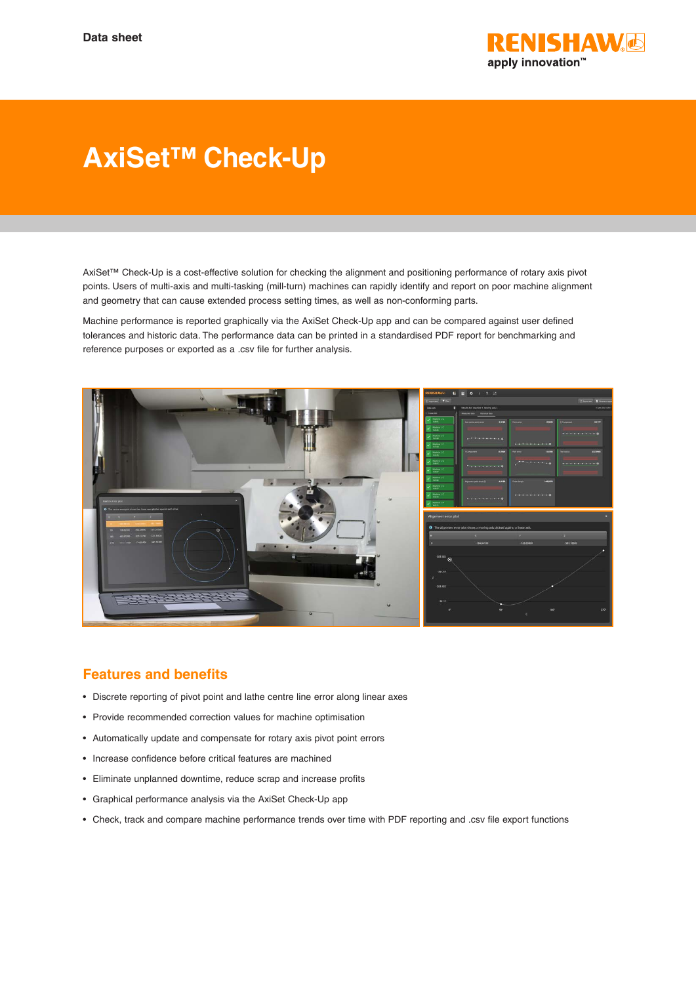

## **AxiSet™ Check-Up**

AxiSet™ Check-Up is a cost-effective solution for checking the alignment and positioning performance of rotary axis pivot points. Users of multi-axis and multi-tasking (mill-turn) machines can rapidly identify and report on poor machine alignment and geometry that can cause extended process setting times, as well as non-conforming parts.

Machine performance is reported graphically via the AxiSet Check-Up app and can be compared against user defined tolerances and historic data. The performance data can be printed in a standardised PDF report for benchmarking and reference purposes or exported as a .csv file for further analysis.



## **Features and benefits**

- Discrete reporting of pivot point and lathe centre line error along linear axes
- Provide recommended correction values for machine optimisation
- Automatically update and compensate for rotary axis pivot point errors
- Increase confidence before critical features are machined
- Eliminate unplanned downtime, reduce scrap and increase profits
- Graphical performance analysis via the AxiSet Check-Up app
- Check, track and compare machine performance trends over time with PDF reporting and .csv file export functions